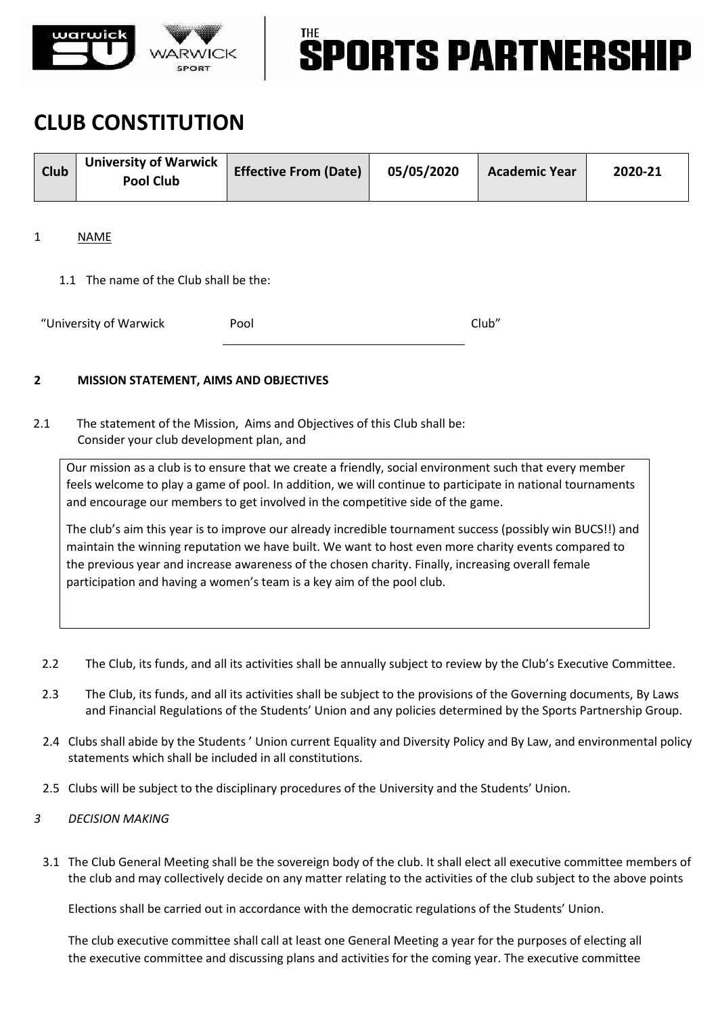

# **SPORTS PARTNERSH**

### **CLUB CONSTITUTION**

| <b>Club</b> | <b>University of Warwick</b><br>Pool Club | <b>Effective From (Date)</b> | 05/05/2020 | <b>Academic Year</b> | 2020-21 |
|-------------|-------------------------------------------|------------------------------|------------|----------------------|---------|
|-------------|-------------------------------------------|------------------------------|------------|----------------------|---------|

### 1 NAME

1.1 The name of the Club shall be the:

| "University of Warwick | Pool | Club" |
|------------------------|------|-------|
|                        |      |       |

### **2 MISSION STATEMENT, AIMS AND OBJECTIVES**

2.1 The statement of the Mission, Aims and Objectives of this Club shall be: Consider your club development plan, and

Our mission as a club is to ensure that we create a friendly, social environment such that every member feels welcome to play a game of pool. In addition, we will continue to participate in national tournaments and encourage our members to get involved in the competitive side of the game.

The club's aim this year is to improve our already incredible tournament success (possibly win BUCS!!) and maintain the winning reputation we have built. We want to host even more charity events compared to the previous year and increase awareness of the chosen charity. Finally, increasing overall female participation and having a women's team is a key aim of the pool club.

- 2.2 The Club, its funds, and all its activities shall be annually subject to review by the Club's Executive Committee.
- 2.3 The Club, its funds, and all its activities shall be subject to the provisions of the Governing documents, By Laws and Financial Regulations of the Students' Union and any policies determined by the Sports Partnership Group.
- 2.4 Clubs shall abide by the Students ' Union current Equality and Diversity Policy and By Law, and environmental policy statements which shall be included in all constitutions.
- 2.5 Clubs will be subject to the disciplinary procedures of the University and the Students' Union.
- *3 DECISION MAKING*
	- 3.1 The Club General Meeting shall be the sovereign body of the club. It shall elect all executive committee members of the club and may collectively decide on any matter relating to the activities of the club subject to the above points

Elections shall be carried out in accordance with the democratic regulations of the Students' Union.

The club executive committee shall call at least one General Meeting a year for the purposes of electing all the executive committee and discussing plans and activities for the coming year. The executive committee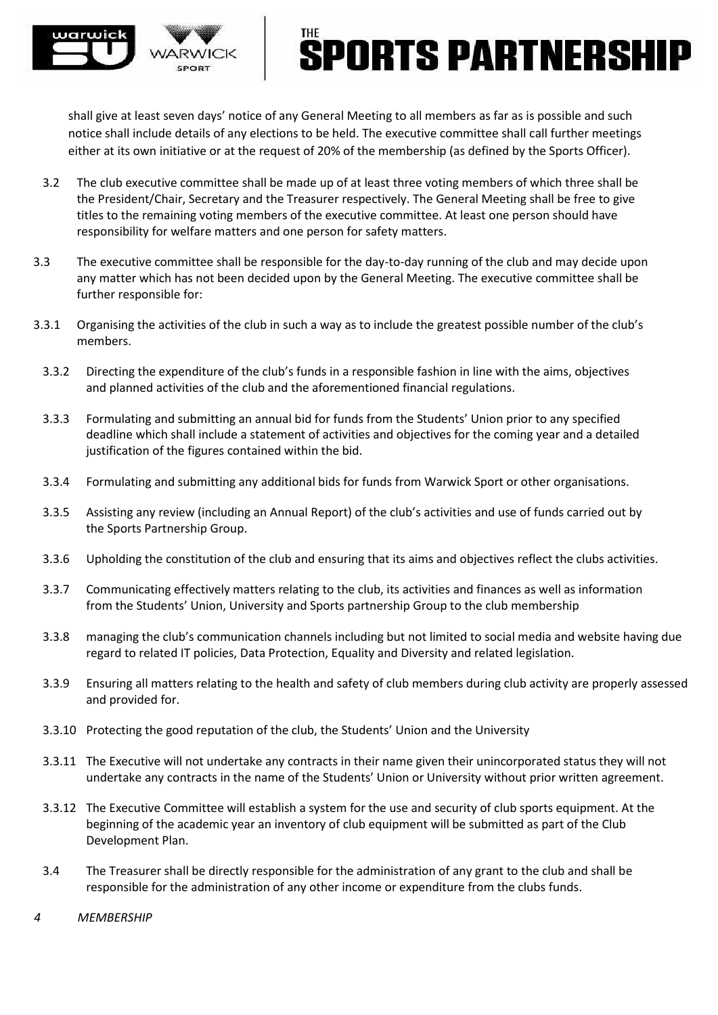

### **PORTS PARTNERSH**

shall give at least seven days' notice of any General Meeting to all members as far as is possible and such notice shall include details of any elections to be held. The executive committee shall call further meetings either at its own initiative or at the request of 20% of the membership (as defined by the Sports Officer).

- 3.2 The club executive committee shall be made up of at least three voting members of which three shall be the President/Chair, Secretary and the Treasurer respectively. The General Meeting shall be free to give titles to the remaining voting members of the executive committee. At least one person should have responsibility for welfare matters and one person for safety matters.
- 3.3 The executive committee shall be responsible for the day-to-day running of the club and may decide upon any matter which has not been decided upon by the General Meeting. The executive committee shall be further responsible for:
- 3.3.1 Organising the activities of the club in such a way as to include the greatest possible number of the club's members.
	- 3.3.2 Directing the expenditure of the club's funds in a responsible fashion in line with the aims, objectives and planned activities of the club and the aforementioned financial regulations.
	- 3.3.3 Formulating and submitting an annual bid for funds from the Students' Union prior to any specified deadline which shall include a statement of activities and objectives for the coming year and a detailed justification of the figures contained within the bid.
	- 3.3.4 Formulating and submitting any additional bids for funds from Warwick Sport or other organisations.
	- 3.3.5 Assisting any review (including an Annual Report) of the club's activities and use of funds carried out by the Sports Partnership Group.
	- 3.3.6 Upholding the constitution of the club and ensuring that its aims and objectives reflect the clubs activities.
	- 3.3.7 Communicating effectively matters relating to the club, its activities and finances as well as information from the Students' Union, University and Sports partnership Group to the club membership
	- 3.3.8 managing the club's communication channels including but not limited to social media and website having due regard to related IT policies, Data Protection, Equality and Diversity and related legislation.
	- 3.3.9 Ensuring all matters relating to the health and safety of club members during club activity are properly assessed and provided for.
	- 3.3.10 Protecting the good reputation of the club, the Students' Union and the University
	- 3.3.11 The Executive will not undertake any contracts in their name given their unincorporated status they will not undertake any contracts in the name of the Students' Union or University without prior written agreement.
	- 3.3.12 The Executive Committee will establish a system for the use and security of club sports equipment. At the beginning of the academic year an inventory of club equipment will be submitted as part of the Club Development Plan.
	- 3.4 The Treasurer shall be directly responsible for the administration of any grant to the club and shall be responsible for the administration of any other income or expenditure from the clubs funds.
- *4 MEMBERSHIP*